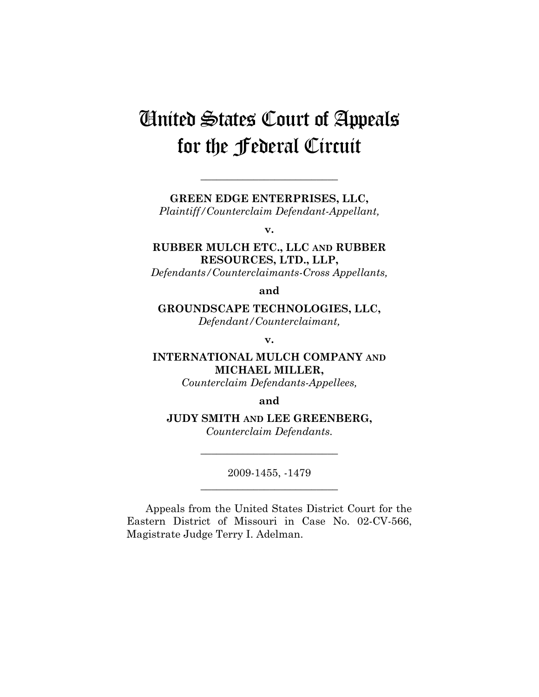# United States Court of Appeals for the Federal Circuit

**GREEN EDGE ENTERPRISES, LLC,** 

**\_\_\_\_\_\_\_\_\_\_\_\_\_\_\_\_\_\_\_\_\_\_\_\_\_\_** 

*Plaintiff/Counterclaim Defendant-Appellant,* 

**v.** 

# **RUBBER MULCH ETC., LLC AND RUBBER RESOURCES, LTD., LLP,**

*Defendants/Counterclaimants-Cross Appellants,* 

**and** 

**GROUNDSCAPE TECHNOLOGIES, LLC,**  *Defendant/Counterclaimant,* 

**v.** 

**INTERNATIONAL MULCH COMPANY AND MICHAEL MILLER,** 

*Counterclaim Defendants-Appellees,* 

**and** 

## **JUDY SMITH AND LEE GREENBERG,**

*Counterclaim Defendants.* 

2009-1455, -1479 **\_\_\_\_\_\_\_\_\_\_\_\_\_\_\_\_\_\_\_\_\_\_\_\_\_\_** 

**\_\_\_\_\_\_\_\_\_\_\_\_\_\_\_\_\_\_\_\_\_\_\_\_\_\_** 

Appeals from the United States District Court for the Eastern District of Missouri in Case No. 02-CV-566, Magistrate Judge Terry I. Adelman.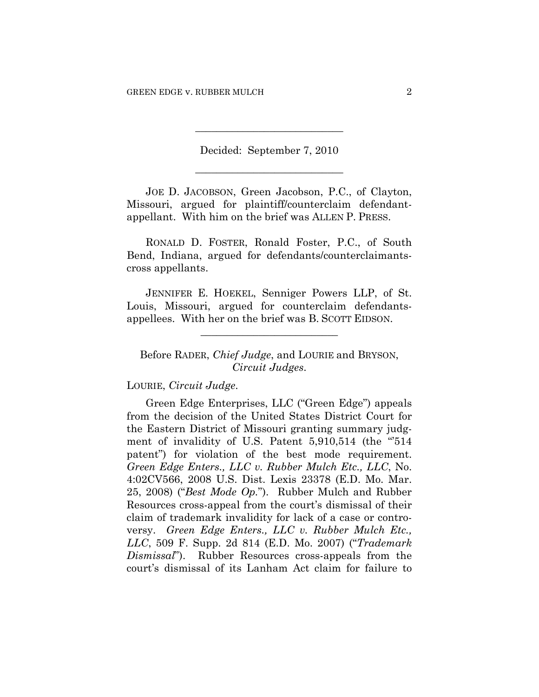Decided: September 7, 2010 **\_\_\_\_\_\_\_\_\_\_\_\_\_\_\_\_\_\_\_\_\_\_\_\_\_\_\_\_** 

**\_\_\_\_\_\_\_\_\_\_\_\_\_\_\_\_\_\_\_\_\_\_\_\_\_\_\_\_** 

JOE D. JACOBSON, Green Jacobson, P.C., of Clayton, Missouri, argued for plaintiff/counterclaim defendantappellant. With him on the brief was ALLEN P. PRESS.

RONALD D. FOSTER, Ronald Foster, P.C., of South Bend, Indiana, argued for defendants/counterclaimantscross appellants.

JENNIFER E. HOEKEL, Senniger Powers LLP, of St. Louis, Missouri, argued for counterclaim defendantsappellees. With her on the brief was B. SCOTT EIDSON.

**\_\_\_\_\_\_\_\_\_\_\_\_\_\_\_\_\_\_\_\_\_\_\_\_\_\_** 

# Before RADER, *Chief Judge*, and LOURIE and BRYSON, *Circuit Judges*.

LOURIE, *Circuit Judge*.

Green Edge Enterprises, LLC ("Green Edge") appeals from the decision of the United States District Court for the Eastern District of Missouri granting summary judgment of invalidity of U.S. Patent 5,910,514 (the "514" patent") for violation of the best mode requirement. *Green Edge Enters., LLC v. Rubber Mulch Etc., LLC*, No. 4:02CV566, 2008 U.S. Dist. Lexis 23378 (E.D. Mo. Mar. 25, 2008) ("*Best Mode Op.*"). Rubber Mulch and Rubber Resources cross-appeal from the court's dismissal of their claim of trademark invalidity for lack of a case or controversy. *Green Edge Enters., LLC v. Rubber Mulch Etc., LLC*, 509 F. Supp. 2d 814 (E.D. Mo. 2007) ("*Trademark Dismissal*"). Rubber Resources cross-appeals from the court's dismissal of its Lanham Act claim for failure to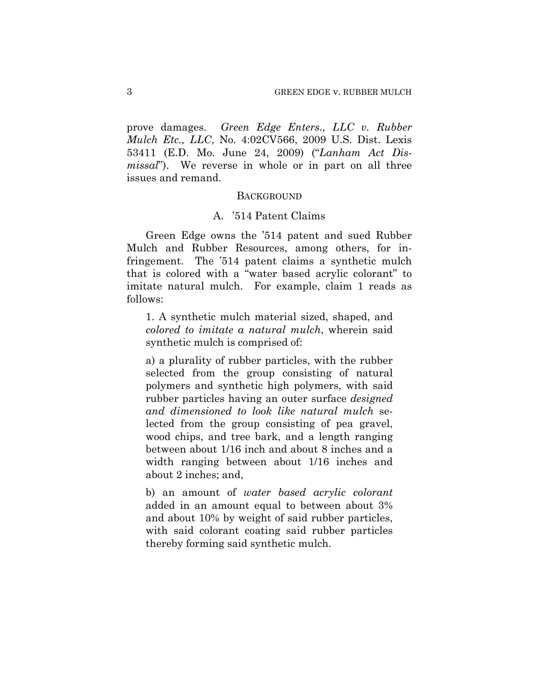prove damages. *Green Edge Enters., LLC v. Rubber Mulch Etc., LLC*, No. 4:02CV566, 2009 U.S. Dist. Lexis 53411 (E.D. Mo. June 24, 2009) ("*Lanham Act Dismissal*"). We reverse in whole or in part on all three issues and remand.

### **BACKGROUND**

## A. '514 Patent Claims

Green Edge owns the '514 patent and sued Rubber Mulch and Rubber Resources, among others, for infringement. The '514 patent claims a synthetic mulch that is colored with a "water based acrylic colorant" to imitate natural mulch. For example, claim 1 reads as follows:

1. A synthetic mulch material sized, shaped, and *colored to imitate a natural mulch*, wherein said synthetic mulch is comprised of:

a) a plurality of rubber particles, with the rubber selected from the group consisting of natural polymers and synthetic high polymers, with said rubber particles having an outer surface *designed and dimensioned to look like natural mulch* selected from the group consisting of pea gravel, wood chips, and tree bark, and a length ranging between about 1/16 inch and about 8 inches and a width ranging between about 1/16 inches and about 2 inches; and,

b) an amount of *water based acrylic colorant* added in an amount equal to between about 3% and about 10% by weight of said rubber particles, with said colorant coating said rubber particles thereby forming said synthetic mulch.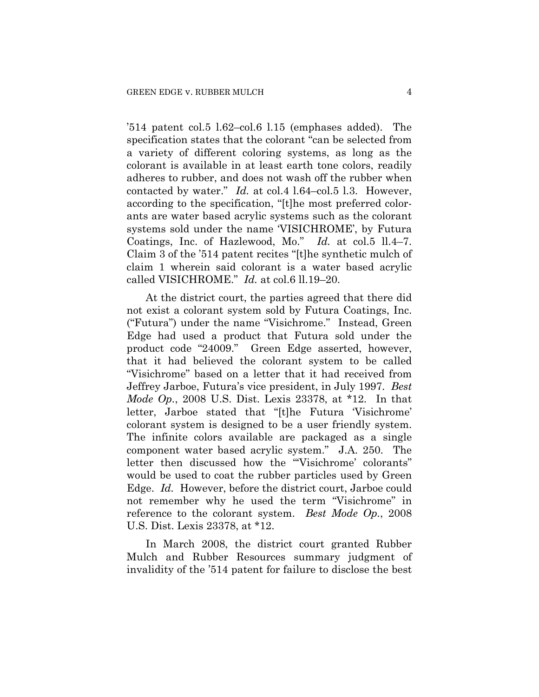'514 patent col.5 l.62–col.6 l.15 (emphases added). The specification states that the colorant "can be selected from a variety of different coloring systems, as long as the colorant is available in at least earth tone colors, readily adheres to rubber, and does not wash off the rubber when contacted by water." *Id.* at col.4 l.64–col.5 l.3. However, according to the specification, "[t]he most preferred colorants are water based acrylic systems such as the colorant systems sold under the name 'VISICHROME', by Futura Coatings, Inc. of Hazlewood, Mo." *Id.* at col.5 ll.4–7. Claim 3 of the '514 patent recites "[t]he synthetic mulch of claim 1 wherein said colorant is a water based acrylic called VISICHROME." *Id.* at col.6 ll.19–20.

At the district court, the parties agreed that there did not exist a colorant system sold by Futura Coatings, Inc. ("Futura") under the name "Visichrome." Instead, Green Edge had used a product that Futura sold under the product code "24009." Green Edge asserted, however, that it had believed the colorant system to be called "Visichrome" based on a letter that it had received from Jeffrey Jarboe, Futura's vice president, in July 1997. *Best Mode Op.*, 2008 U.S. Dist. Lexis 23378, at \*12. In that letter, Jarboe stated that "[t]he Futura 'Visichrome' colorant system is designed to be a user friendly system. The infinite colors available are packaged as a single component water based acrylic system." J.A. 250. The letter then discussed how the "Visichrome' colorants" would be used to coat the rubber particles used by Green Edge. *Id.* However, before the district court, Jarboe could not remember why he used the term "Visichrome" in reference to the colorant system. *Best Mode Op.*, 2008 U.S. Dist. Lexis 23378, at \*12.

In March 2008, the district court granted Rubber Mulch and Rubber Resources summary judgment of invalidity of the '514 patent for failure to disclose the best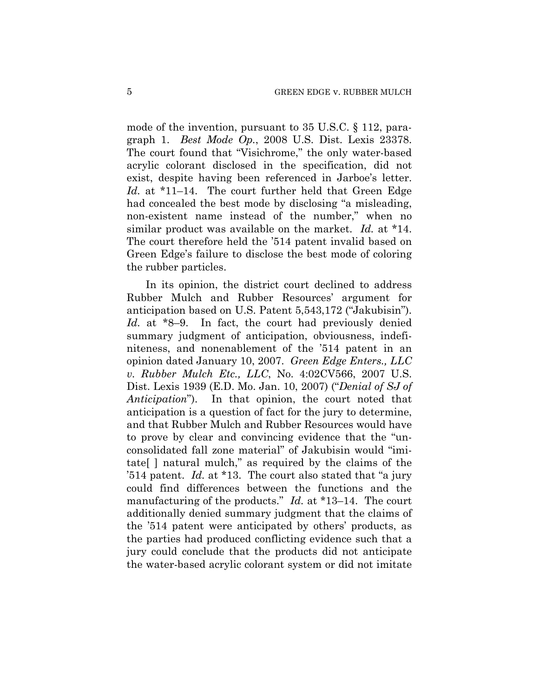mode of the invention, pursuant to 35 U.S.C. § 112, paragraph 1. *Best Mode Op.*, 2008 U.S. Dist. Lexis 23378. The court found that "Visichrome," the only water-based acrylic colorant disclosed in the specification, did not exist, despite having been referenced in Jarboe's letter. *Id.* at \*11–14. The court further held that Green Edge had concealed the best mode by disclosing "a misleading, non-existent name instead of the number," when no similar product was available on the market. *Id.* at \*14. The court therefore held the '514 patent invalid based on Green Edge's failure to disclose the best mode of coloring the rubber particles.

In its opinion, the district court declined to address Rubber Mulch and Rubber Resources' argument for anticipation based on U.S. Patent 5,543,172 ("Jakubisin"). *Id.* at \*8–9. In fact, the court had previously denied summary judgment of anticipation, obviousness, indefiniteness, and nonenablement of the '514 patent in an opinion dated January 10, 2007. *Green Edge Enters., LLC v. Rubber Mulch Etc., LLC*, No. 4:02CV566, 2007 U.S. Dist. Lexis 1939 (E.D. Mo. Jan. 10, 2007) ("*Denial of SJ of Anticipation*"). In that opinion, the court noted that anticipation is a question of fact for the jury to determine, and that Rubber Mulch and Rubber Resources would have to prove by clear and convincing evidence that the "unconsolidated fall zone material" of Jakubisin would "imitate[ ] natural mulch," as required by the claims of the '514 patent. *Id.* at \*13. The court also stated that "a jury could find differences between the functions and the manufacturing of the products." *Id.* at \*13–14. The court additionally denied summary judgment that the claims of the '514 patent were anticipated by others' products, as the parties had produced conflicting evidence such that a jury could conclude that the products did not anticipate the water-based acrylic colorant system or did not imitate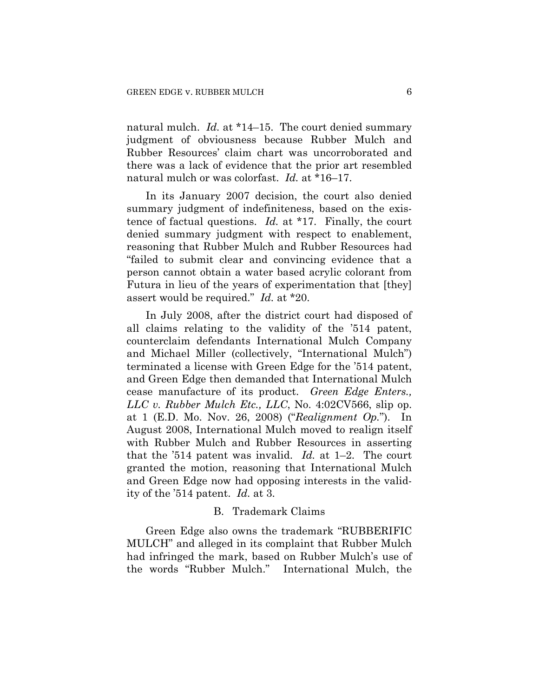natural mulch. *Id.* at \*14–15. The court denied summary judgment of obviousness because Rubber Mulch and Rubber Resources' claim chart was uncorroborated and there was a lack of evidence that the prior art resembled natural mulch or was colorfast. *Id.* at \*16–17.

In its January 2007 decision, the court also denied summary judgment of indefiniteness, based on the existence of factual questions. *Id.* at \*17. Finally, the court denied summary judgment with respect to enablement, reasoning that Rubber Mulch and Rubber Resources had "failed to submit clear and convincing evidence that a person cannot obtain a water based acrylic colorant from Futura in lieu of the years of experimentation that [they] assert would be required." *Id.* at \*20.

In July 2008, after the district court had disposed of all claims relating to the validity of the '514 patent, counterclaim defendants International Mulch Company and Michael Miller (collectively, "International Mulch") terminated a license with Green Edge for the '514 patent, and Green Edge then demanded that International Mulch cease manufacture of its product. *Green Edge Enters., LLC v. Rubber Mulch Etc., LLC*, No. 4:02CV566, slip op. at 1 (E.D. Mo. Nov. 26, 2008) ("*Realignment Op.*"). In August 2008, International Mulch moved to realign itself with Rubber Mulch and Rubber Resources in asserting that the '514 patent was invalid. *Id.* at 1–2. The court granted the motion, reasoning that International Mulch and Green Edge now had opposing interests in the validity of the '514 patent. *Id.* at 3.

## B. Trademark Claims

Green Edge also owns the trademark "RUBBERIFIC MULCH" and alleged in its complaint that Rubber Mulch had infringed the mark, based on Rubber Mulch's use of the words "Rubber Mulch." International Mulch, the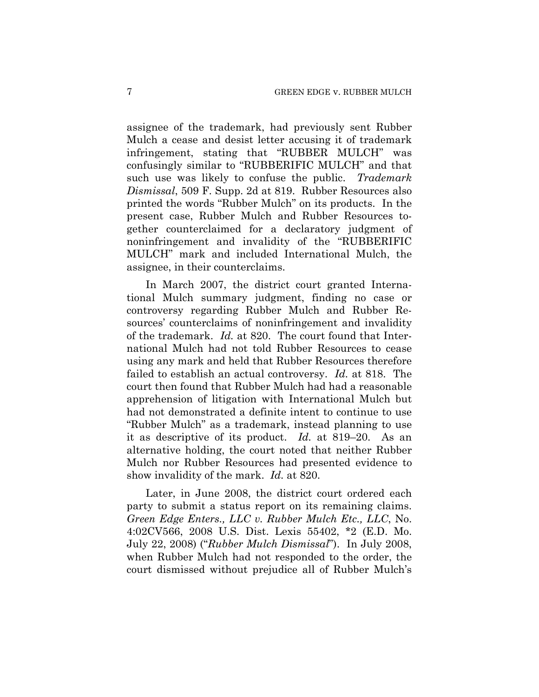assignee of the trademark, had previously sent Rubber Mulch a cease and desist letter accusing it of trademark infringement, stating that "RUBBER MULCH" was confusingly similar to "RUBBERIFIC MULCH" and that such use was likely to confuse the public. *Trademark Dismissal*, 509 F. Supp. 2d at 819. Rubber Resources also printed the words "Rubber Mulch" on its products. In the present case, Rubber Mulch and Rubber Resources together counterclaimed for a declaratory judgment of noninfringement and invalidity of the "RUBBERIFIC MULCH" mark and included International Mulch, the assignee, in their counterclaims.

In March 2007, the district court granted International Mulch summary judgment, finding no case or controversy regarding Rubber Mulch and Rubber Resources' counterclaims of noninfringement and invalidity of the trademark. *Id.* at 820. The court found that International Mulch had not told Rubber Resources to cease using any mark and held that Rubber Resources therefore failed to establish an actual controversy. *Id.* at 818. The court then found that Rubber Mulch had had a reasonable apprehension of litigation with International Mulch but had not demonstrated a definite intent to continue to use "Rubber Mulch" as a trademark, instead planning to use it as descriptive of its product. *Id.* at 819–20. As an alternative holding, the court noted that neither Rubber Mulch nor Rubber Resources had presented evidence to show invalidity of the mark. *Id.* at 820.

Later, in June 2008, the district court ordered each party to submit a status report on its remaining claims. *Green Edge Enters., LLC v. Rubber Mulch Etc., LLC*, No. 4:02CV566, 2008 U.S. Dist. Lexis 55402, \*2 (E.D. Mo. July 22, 2008) ("*Rubber Mulch Dismissal*"). In July 2008, when Rubber Mulch had not responded to the order, the court dismissed without prejudice all of Rubber Mulch's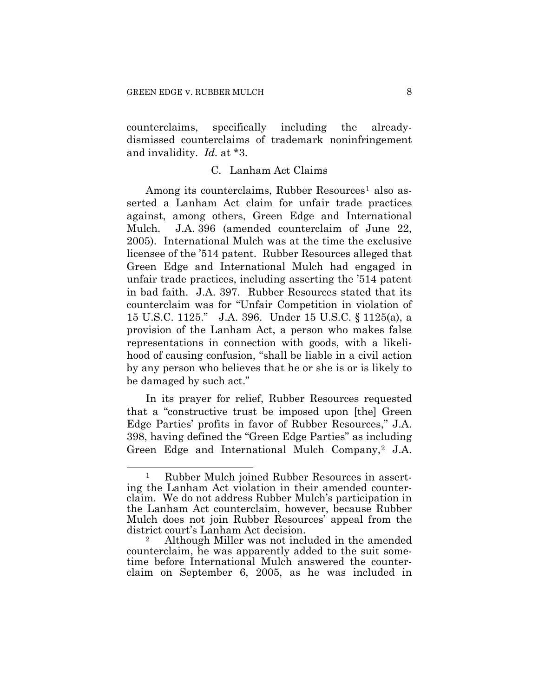counterclaims, specifically including the alreadydismissed counterclaims of trademark noninfringement and invalidity. *Id.* at \*3.

## C. Lanham Act Claims

Among its counterclaims, Rubber Resources<sup>1</sup> also asserted a Lanham Act claim for unfair trade practices against, among others, Green Edge and International Mulch. J.A. 396 (amended counterclaim of June 22, 2005). International Mulch was at the time the exclusive licensee of the '514 patent. Rubber Resources alleged that Green Edge and International Mulch had engaged in unfair trade practices, including asserting the '514 patent in bad faith. J.A. 397. Rubber Resources stated that its counterclaim was for "Unfair Competition in violation of 15 U.S.C. 1125." J.A. 396. Under 15 U.S.C. § 1125(a), a provision of the Lanham Act, a person who makes false representations in connection with goods, with a likelihood of causing confusion, "shall be liable in a civil action by any person who believes that he or she is or is likely to be damaged by such act."

In its prayer for relief, Rubber Resources requested that a "constructive trust be imposed upon [the] Green Edge Parties' profits in favor of Rubber Resources," J.A. 398, having defined the "Green Edge Parties" as including Green Edge and International Mulch Company,<sup>[2](#page-7-1)</sup> J.A.

<span id="page-7-0"></span> $\overline{a}$ 1 Rubber Mulch joined Rubber Resources in asserting the Lanham Act violation in their amended counterclaim. We do not address Rubber Mulch's participation in the Lanham Act counterclaim, however, because Rubber Mulch does not join Rubber Resources' appeal from the district court's Lanham Act decision.<br><sup>2</sup> Although Miller was not included in the amended

<span id="page-7-1"></span>counterclaim, he was apparently added to the suit sometime before International Mulch answered the counterclaim on September 6, 2005, as he was included in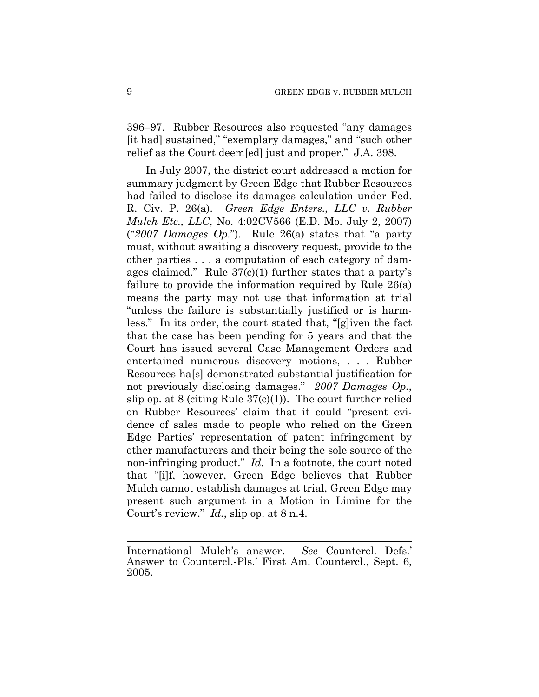396–97. Rubber Resources also requested "any damages [it had] sustained," "exemplary damages," and "such other relief as the Court deem[ed] just and proper." J.A. 398.

In July 2007, the district court addressed a motion for summary judgment by Green Edge that Rubber Resources had failed to disclose its damages calculation under Fed. R. Civ. P. 26(a). *Green Edge Enters., LLC v. Rubber Mulch Etc., LLC*, No. 4:02CV566 (E.D. Mo. July 2, 2007) ("*2007 Damages Op.*"). Rule 26(a) states that "a party must, without awaiting a discovery request, provide to the other parties . . . a computation of each category of damages claimed." Rule 37(c)(1) further states that a party's failure to provide the information required by Rule 26(a) means the party may not use that information at trial "unless the failure is substantially justified or is harmless." In its order, the court stated that, "[g]iven the fact that the case has been pending for 5 years and that the Court has issued several Case Management Orders and entertained numerous discovery motions, . . . Rubber Resources ha[s] demonstrated substantial justification for not previously disclosing damages." *2007 Damages Op.*, slip op. at 8 (citing Rule  $37(c)(1)$ ). The court further relied on Rubber Resources' claim that it could "present evidence of sales made to people who relied on the Green Edge Parties' representation of patent infringement by other manufacturers and their being the sole source of the non-infringing product." *Id.* In a footnote, the court noted that "[i]f, however, Green Edge believes that Rubber Mulch cannot establish damages at trial, Green Edge may present such argument in a Motion in Limine for the Court's review." *Id.*, slip op. at 8 n.4.

 $\overline{a}$ 

International Mulch's answer. *See* Countercl. Defs.' Answer to Countercl.-Pls.' First Am. Countercl., Sept. 6, 2005.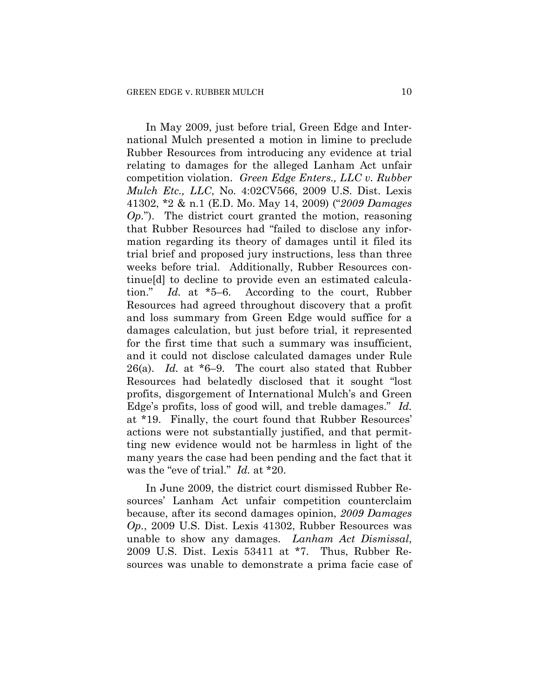In May 2009, just before trial, Green Edge and International Mulch presented a motion in limine to preclude Rubber Resources from introducing any evidence at trial relating to damages for the alleged Lanham Act unfair competition violation. *Green Edge Enters., LLC v. Rubber Mulch Etc., LLC*, No. 4:02CV566, 2009 U.S. Dist. Lexis 41302, \*2 & n.1 (E.D. Mo. May 14, 2009) ("*2009 Damages Op.*"). The district court granted the motion, reasoning that Rubber Resources had "failed to disclose any information regarding its theory of damages until it filed its trial brief and proposed jury instructions, less than three weeks before trial. Additionally, Rubber Resources continue[d] to decline to provide even an estimated calculation." *Id.* at \*5–6. According to the court, Rubber Resources had agreed throughout discovery that a profit and loss summary from Green Edge would suffice for a damages calculation, but just before trial, it represented for the first time that such a summary was insufficient, and it could not disclose calculated damages under Rule 26(a). *Id.* at \*6–9. The court also stated that Rubber Resources had belatedly disclosed that it sought "lost profits, disgorgement of International Mulch's and Green Edge's profits, loss of good will, and treble damages." *Id.* at \*19. Finally, the court found that Rubber Resources' actions were not substantially justified, and that permitting new evidence would not be harmless in light of the many years the case had been pending and the fact that it was the "eve of trial." *Id.* at \*20.

In June 2009, the district court dismissed Rubber Resources' Lanham Act unfair competition counterclaim because, after its second damages opinion, *2009 Damages Op.*, 2009 U.S. Dist. Lexis 41302, Rubber Resources was unable to show any damages. *Lanham Act Dismissal*, 2009 U.S. Dist. Lexis 53411 at \*7. Thus, Rubber Resources was unable to demonstrate a prima facie case of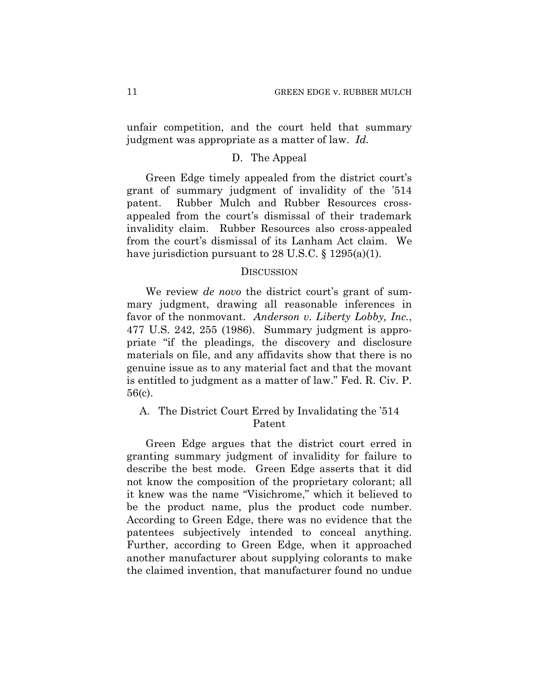unfair competition, and the court held that summary judgment was appropriate as a matter of law. *Id.*

#### D. The Appeal

Green Edge timely appealed from the district court's grant of summary judgment of invalidity of the '514 patent. Rubber Mulch and Rubber Resources crossappealed from the court's dismissal of their trademark invalidity claim. Rubber Resources also cross-appealed from the court's dismissal of its Lanham Act claim. We have jurisdiction pursuant to 28 U.S.C. § 1295(a)(1).

## **DISCUSSION**

We review *de novo* the district court's grant of summary judgment, drawing all reasonable inferences in favor of the nonmovant. *Anderson v. Liberty Lobby, Inc.*, 477 U.S. 242, 255 (1986). Summary judgment is appropriate "if the pleadings, the discovery and disclosure materials on file, and any affidavits show that there is no genuine issue as to any material fact and that the movant is entitled to judgment as a matter of law." Fed. R. Civ. P. 56(c).

# A. The District Court Erred by Invalidating the '514 Patent

Green Edge argues that the district court erred in granting summary judgment of invalidity for failure to describe the best mode. Green Edge asserts that it did not know the composition of the proprietary colorant; all it knew was the name "Visichrome," which it believed to be the product name, plus the product code number. According to Green Edge, there was no evidence that the patentees subjectively intended to conceal anything. Further, according to Green Edge, when it approached another manufacturer about supplying colorants to make the claimed invention, that manufacturer found no undue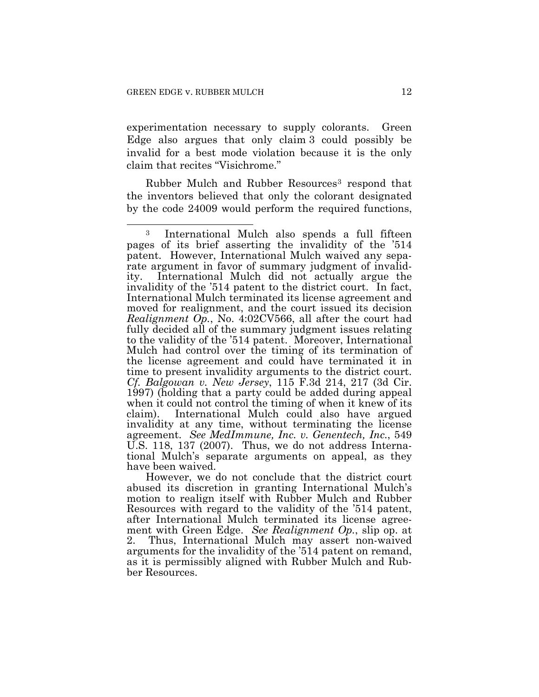$\overline{a}$ 

experimentation necessary to supply colorants. Green Edge also argues that only claim 3 could possibly be invalid for a best mode violation because it is the only claim that recites "Visichrome."

Rubber Mulch and Rubber Resources[3](#page-11-0) respond that the inventors believed that only the colorant designated by the code 24009 would perform the required functions,

However, we do not conclude that the district court abused its discretion in granting International Mulch's motion to realign itself with Rubber Mulch and Rubber Resources with regard to the validity of the '514 patent, after International Mulch terminated its license agreement with Green Edge. *See Realignment Op.*, slip op. at 2. Thus, International Mulch may assert non-waived arguments for the invalidity of the '514 patent on remand, as it is permissibly aligned with Rubber Mulch and Rubber Resources.

<span id="page-11-0"></span><sup>3</sup> International Mulch also spends a full fifteen pages of its brief asserting the invalidity of the '514 patent. However, International Mulch waived any separate argument in favor of summary judgment of invalidity. International Mulch did not actually argue the invalidity of the '514 patent to the district court. In fact, International Mulch terminated its license agreement and moved for realignment, and the court issued its decision *Realignment Op.*, No. 4:02CV566, all after the court had fully decided all of the summary judgment issues relating to the validity of the '514 patent. Moreover, International Mulch had control over the timing of its termination of the license agreement and could have terminated it in time to present invalidity arguments to the district court. *Cf. Balgowan v. New Jersey*, 115 F.3d 214, 217 (3d Cir. 1997) (holding that a party could be added during appeal when it could not control the timing of when it knew of its claim). International Mulch could also have argued invalidity at any time, without terminating the license agreement. *See MedImmune, Inc. v. Genentech, Inc.*, 549 U.S. 118, 137 (2007). Thus, we do not address International Mulch's separate arguments on appeal, as they have been waived.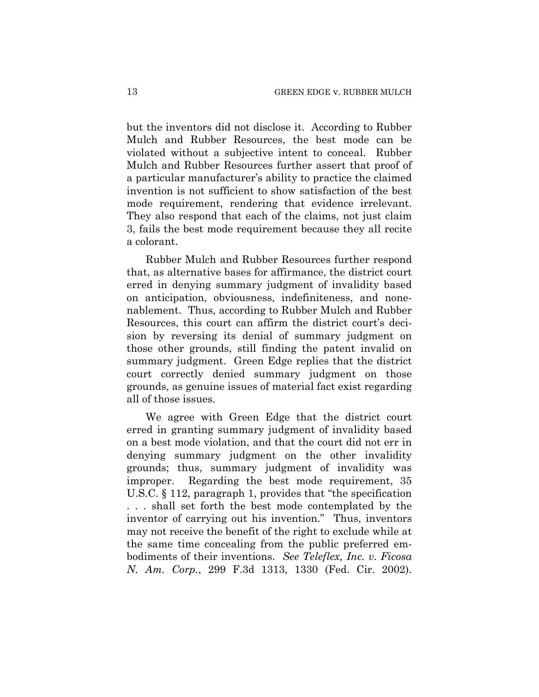but the inventors did not disclose it. According to Rubber Mulch and Rubber Resources, the best mode can be violated without a subjective intent to conceal. Rubber Mulch and Rubber Resources further assert that proof of a particular manufacturer's ability to practice the claimed invention is not sufficient to show satisfaction of the best mode requirement, rendering that evidence irrelevant. They also respond that each of the claims, not just claim 3, fails the best mode requirement because they all recite a colorant.

Rubber Mulch and Rubber Resources further respond that, as alternative bases for affirmance, the district court erred in denying summary judgment of invalidity based on anticipation, obviousness, indefiniteness, and nonenablement. Thus, according to Rubber Mulch and Rubber Resources, this court can affirm the district court's decision by reversing its denial of summary judgment on those other grounds, still finding the patent invalid on summary judgment. Green Edge replies that the district court correctly denied summary judgment on those grounds, as genuine issues of material fact exist regarding all of those issues.

We agree with Green Edge that the district court erred in granting summary judgment of invalidity based on a best mode violation, and that the court did not err in denying summary judgment on the other invalidity grounds; thus, summary judgment of invalidity was improper. Regarding the best mode requirement, 35 U.S.C. § 112, paragraph 1, provides that "the specification . . . shall set forth the best mode contemplated by the inventor of carrying out his invention." Thus, inventors may not receive the benefit of the right to exclude while at the same time concealing from the public preferred embodiments of their inventions. *See Teleflex, Inc. v. Ficosa N. Am. Corp.*, 299 F.3d 1313, 1330 (Fed. Cir. 2002).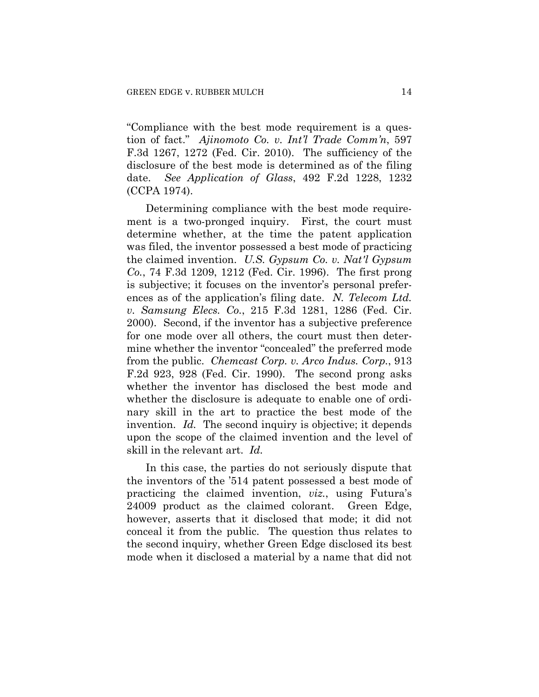"Compliance with the best mode requirement is a question of fact." *Ajinomoto Co. v. Int'l Trade Comm'n*, 597 F.3d 1267, 1272 (Fed. Cir. 2010). The sufficiency of the disclosure of the best mode is determined as of the filing date. *See Application of Glass*, 492 F.2d 1228, 1232 (CCPA 1974).

Determining compliance with the best mode requirement is a two-pronged inquiry. First, the court must determine whether, at the time the patent application was filed, the inventor possessed a best mode of practicing the claimed invention. *U.S. Gypsum Co. v. Nat'l Gypsum Co.*, 74 F.3d 1209, 1212 (Fed. Cir. 1996). The first prong is subjective; it focuses on the inventor's personal preferences as of the application's filing date. *N. Telecom Ltd. v. Samsung Elecs. Co.*, 215 F.3d 1281, 1286 (Fed. Cir. 2000). Second, if the inventor has a subjective preference for one mode over all others, the court must then determine whether the inventor "concealed" the preferred mode from the public. *Chemcast Corp. v. Arco Indus. Corp.*, 913 F.2d 923, 928 (Fed. Cir. 1990). The second prong asks whether the inventor has disclosed the best mode and whether the disclosure is adequate to enable one of ordinary skill in the art to practice the best mode of the invention. *Id.* The second inquiry is objective; it depends upon the scope of the claimed invention and the level of skill in the relevant art. *Id.*

In this case, the parties do not seriously dispute that the inventors of the '514 patent possessed a best mode of practicing the claimed invention, *viz.*, using Futura's 24009 product as the claimed colorant. Green Edge, however, asserts that it disclosed that mode; it did not conceal it from the public. The question thus relates to the second inquiry, whether Green Edge disclosed its best mode when it disclosed a material by a name that did not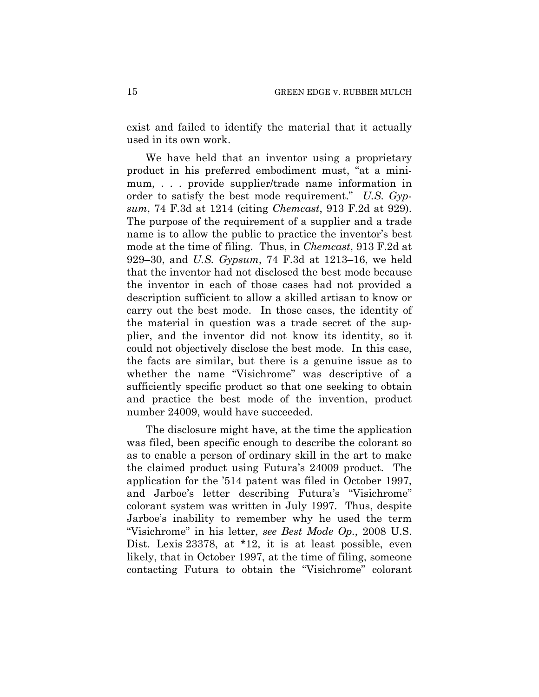exist and failed to identify the material that it actually used in its own work.

We have held that an inventor using a proprietary product in his preferred embodiment must, "at a minimum, . . . provide supplier/trade name information in order to satisfy the best mode requirement." *U.S. Gypsum*, 74 F.3d at 1214 (citing *Chemcast*, 913 F.2d at 929). The purpose of the requirement of a supplier and a trade name is to allow the public to practice the inventor's best mode at the time of filing. Thus, in *Chemcast*, 913 F.2d at 929–30, and *U.S. Gypsum*, 74 F.3d at 1213–16, we held that the inventor had not disclosed the best mode because the inventor in each of those cases had not provided a description sufficient to allow a skilled artisan to know or carry out the best mode. In those cases, the identity of the material in question was a trade secret of the supplier, and the inventor did not know its identity, so it could not objectively disclose the best mode. In this case, the facts are similar, but there is a genuine issue as to whether the name "Visichrome" was descriptive of a sufficiently specific product so that one seeking to obtain and practice the best mode of the invention, product number 24009, would have succeeded.

The disclosure might have, at the time the application was filed, been specific enough to describe the colorant so as to enable a person of ordinary skill in the art to make the claimed product using Futura's 24009 product. The application for the '514 patent was filed in October 1997, and Jarboe's letter describing Futura's "Visichrome" colorant system was written in July 1997. Thus, despite Jarboe's inability to remember why he used the term "Visichrome" in his letter, *see Best Mode Op.*, 2008 U.S. Dist. Lexis 23378, at \*12, it is at least possible, even likely, that in October 1997, at the time of filing, someone contacting Futura to obtain the "Visichrome" colorant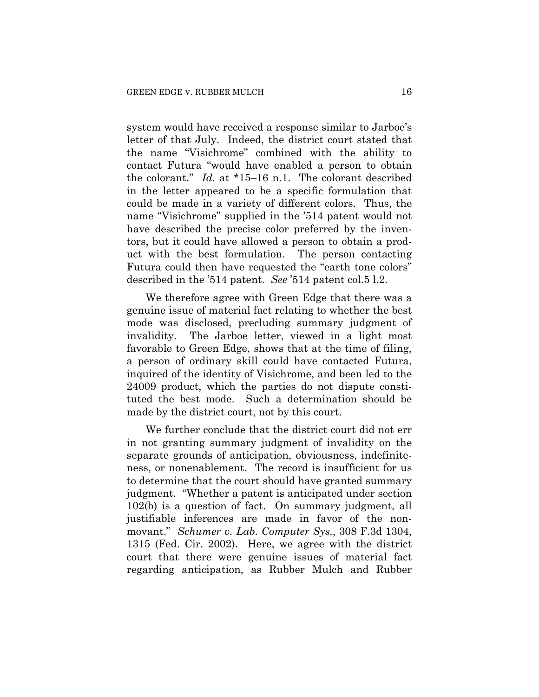system would have received a response similar to Jarboe's letter of that July. Indeed, the district court stated that the name "Visichrome" combined with the ability to contact Futura "would have enabled a person to obtain the colorant." *Id.* at \*15–16 n.1. The colorant described in the letter appeared to be a specific formulation that could be made in a variety of different colors. Thus, the name "Visichrome" supplied in the '514 patent would not have described the precise color preferred by the inventors, but it could have allowed a person to obtain a product with the best formulation. The person contacting Futura could then have requested the "earth tone colors" described in the '514 patent. *See* '514 patent col.5 l.2.

We therefore agree with Green Edge that there was a genuine issue of material fact relating to whether the best mode was disclosed, precluding summary judgment of invalidity. The Jarboe letter, viewed in a light most favorable to Green Edge, shows that at the time of filing, a person of ordinary skill could have contacted Futura, inquired of the identity of Visichrome, and been led to the 24009 product, which the parties do not dispute constituted the best mode. Such a determination should be made by the district court, not by this court.

We further conclude that the district court did not err in not granting summary judgment of invalidity on the separate grounds of anticipation, obviousness, indefiniteness, or nonenablement. The record is insufficient for us to determine that the court should have granted summary judgment. "Whether a patent is anticipated under section 102(b) is a question of fact. On summary judgment, all justifiable inferences are made in favor of the nonmovant." *Schumer v. Lab. Computer Sys.*, 308 F.3d 1304, 1315 (Fed. Cir. 2002). Here, we agree with the district court that there were genuine issues of material fact regarding anticipation, as Rubber Mulch and Rubber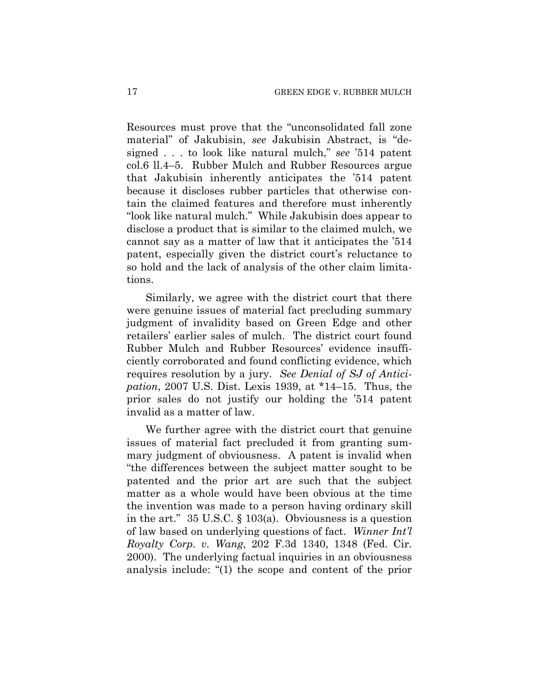Resources must prove that the "unconsolidated fall zone material" of Jakubisin, *see* Jakubisin Abstract, is "designed . . . to look like natural mulch," *see* '514 patent col.6 ll.4–5. Rubber Mulch and Rubber Resources argue that Jakubisin inherently anticipates the '514 patent because it discloses rubber particles that otherwise contain the claimed features and therefore must inherently "look like natural mulch." While Jakubisin does appear to disclose a product that is similar to the claimed mulch, we cannot say as a matter of law that it anticipates the '514 patent, especially given the district court's reluctance to so hold and the lack of analysis of the other claim limitations.

Similarly, we agree with the district court that there were genuine issues of material fact precluding summary judgment of invalidity based on Green Edge and other retailers' earlier sales of mulch. The district court found Rubber Mulch and Rubber Resources' evidence insufficiently corroborated and found conflicting evidence, which requires resolution by a jury. *See Denial of SJ of Anticipation*, 2007 U.S. Dist. Lexis 1939, at \*14–15. Thus, the prior sales do not justify our holding the '514 patent invalid as a matter of law.

We further agree with the district court that genuine issues of material fact precluded it from granting summary judgment of obviousness. A patent is invalid when "the differences between the subject matter sought to be patented and the prior art are such that the subject matter as a whole would have been obvious at the time the invention was made to a person having ordinary skill in the art." 35 U.S.C. § 103(a). Obviousness is a question of law based on underlying questions of fact. *Winner Int'l Royalty Corp. v. Wang*, 202 F.3d 1340, 1348 (Fed. Cir. 2000). The underlying factual inquiries in an obviousness analysis include: "(1) the scope and content of the prior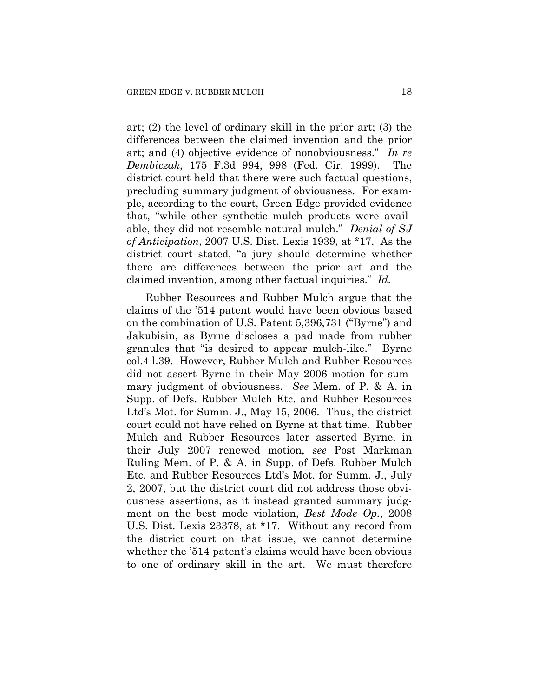art; (2) the level of ordinary skill in the prior art; (3) the differences between the claimed invention and the prior art; and (4) objective evidence of nonobviousness." *In re Dembiczak*, 175 F.3d 994, 998 (Fed. Cir. 1999). The district court held that there were such factual questions, precluding summary judgment of obviousness. For example, according to the court, Green Edge provided evidence that, "while other synthetic mulch products were available, they did not resemble natural mulch." *Denial of SJ of Anticipation*, 2007 U.S. Dist. Lexis 1939, at \*17. As the district court stated, "a jury should determine whether there are differences between the prior art and the claimed invention, among other factual inquiries." *Id.*

Rubber Resources and Rubber Mulch argue that the claims of the '514 patent would have been obvious based on the combination of U.S. Patent 5,396,731 ("Byrne") and Jakubisin, as Byrne discloses a pad made from rubber granules that "is desired to appear mulch-like." Byrne col.4 l.39. However, Rubber Mulch and Rubber Resources did not assert Byrne in their May 2006 motion for summary judgment of obviousness. *See* Mem. of P. & A. in Supp. of Defs. Rubber Mulch Etc. and Rubber Resources Ltd's Mot. for Summ. J., May 15, 2006. Thus, the district court could not have relied on Byrne at that time. Rubber Mulch and Rubber Resources later asserted Byrne, in their July 2007 renewed motion, *see* Post Markman Ruling Mem. of P. & A. in Supp. of Defs. Rubber Mulch Etc. and Rubber Resources Ltd's Mot. for Summ. J., July 2, 2007, but the district court did not address those obviousness assertions, as it instead granted summary judgment on the best mode violation, *Best Mode Op.*, 2008 U.S. Dist. Lexis 23378, at \*17. Without any record from the district court on that issue, we cannot determine whether the '514 patent's claims would have been obvious to one of ordinary skill in the art. We must therefore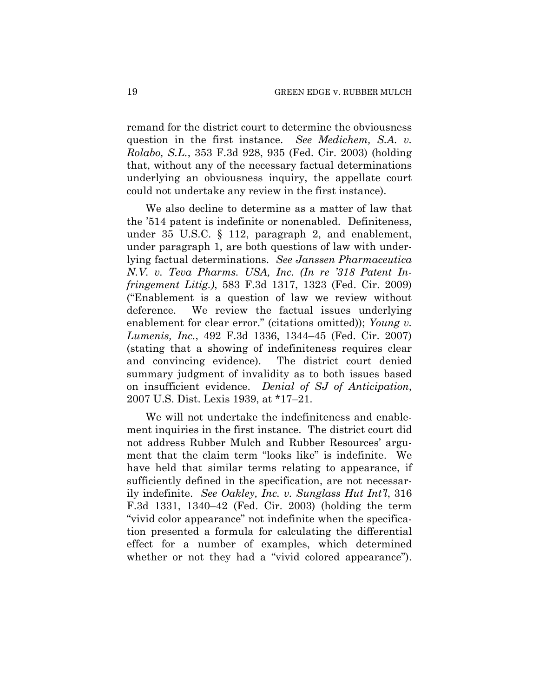remand for the district court to determine the obviousness question in the first instance. *See Medichem, S.A. v. Rolabo, S.L.*, 353 F.3d 928, 935 (Fed. Cir. 2003) (holding that, without any of the necessary factual determinations underlying an obviousness inquiry, the appellate court could not undertake any review in the first instance).

We also decline to determine as a matter of law that the '514 patent is indefinite or nonenabled. Definiteness, under 35 U.S.C. § 112, paragraph 2, and enablement, under paragraph 1, are both questions of law with underlying factual determinations. *See Janssen Pharmaceutica N.V. v. Teva Pharms. USA, Inc. (In re '318 Patent Infringement Litig.)*, 583 F.3d 1317, 1323 (Fed. Cir. 2009) ("Enablement is a question of law we review without deference. We review the factual issues underlying enablement for clear error." (citations omitted)); *Young v. Lumenis, Inc.*, 492 F.3d 1336, 1344–45 (Fed. Cir. 2007) (stating that a showing of indefiniteness requires clear and convincing evidence). The district court denied summary judgment of invalidity as to both issues based on insufficient evidence. *Denial of SJ of Anticipation*, 2007 U.S. Dist. Lexis 1939, at \*17–21.

We will not undertake the indefiniteness and enablement inquiries in the first instance. The district court did not address Rubber Mulch and Rubber Resources' argument that the claim term "looks like" is indefinite. We have held that similar terms relating to appearance, if sufficiently defined in the specification, are not necessarily indefinite. *See Oakley, Inc. v. Sunglass Hut Int'l*, 316 F.3d 1331, 1340–42 (Fed. Cir. 2003) (holding the term "vivid color appearance" not indefinite when the specification presented a formula for calculating the differential effect for a number of examples, which determined whether or not they had a "vivid colored appearance").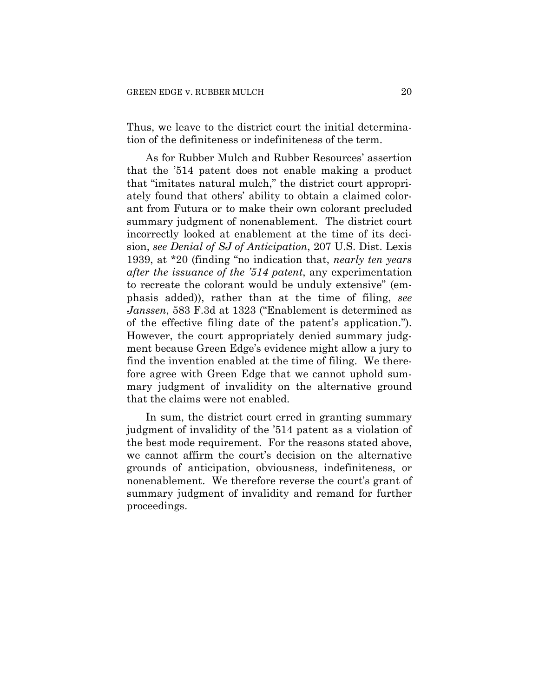Thus, we leave to the district court the initial determination of the definiteness or indefiniteness of the term.

As for Rubber Mulch and Rubber Resources' assertion that the '514 patent does not enable making a product that "imitates natural mulch," the district court appropriately found that others' ability to obtain a claimed colorant from Futura or to make their own colorant precluded summary judgment of nonenablement. The district court incorrectly looked at enablement at the time of its decision, *see Denial of SJ of Anticipation*, 207 U.S. Dist. Lexis 1939, at \*20 (finding "no indication that, *nearly ten years after the issuance of the '514 patent*, any experimentation to recreate the colorant would be unduly extensive" (emphasis added)), rather than at the time of filing, *see Janssen*, 583 F.3d at 1323 ("Enablement is determined as of the effective filing date of the patent's application."). However, the court appropriately denied summary judgment because Green Edge's evidence might allow a jury to find the invention enabled at the time of filing. We therefore agree with Green Edge that we cannot uphold summary judgment of invalidity on the alternative ground that the claims were not enabled.

In sum, the district court erred in granting summary judgment of invalidity of the '514 patent as a violation of the best mode requirement. For the reasons stated above, we cannot affirm the court's decision on the alternative grounds of anticipation, obviousness, indefiniteness, or nonenablement. We therefore reverse the court's grant of summary judgment of invalidity and remand for further proceedings.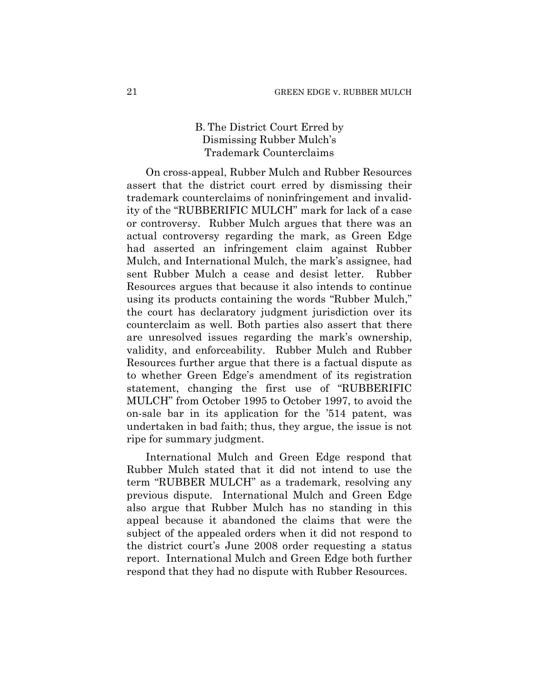# B. The District Court Erred by Dismissing Rubber Mulch's Trademark Counterclaims

On cross-appeal, Rubber Mulch and Rubber Resources assert that the district court erred by dismissing their trademark counterclaims of noninfringement and invalidity of the "RUBBERIFIC MULCH" mark for lack of a case or controversy. Rubber Mulch argues that there was an actual controversy regarding the mark, as Green Edge had asserted an infringement claim against Rubber Mulch, and International Mulch, the mark's assignee, had sent Rubber Mulch a cease and desist letter. Rubber Resources argues that because it also intends to continue using its products containing the words "Rubber Mulch," the court has declaratory judgment jurisdiction over its counterclaim as well. Both parties also assert that there are unresolved issues regarding the mark's ownership, validity, and enforceability. Rubber Mulch and Rubber Resources further argue that there is a factual dispute as to whether Green Edge's amendment of its registration statement, changing the first use of "RUBBERIFIC MULCH" from October 1995 to October 1997, to avoid the on-sale bar in its application for the '514 patent, was undertaken in bad faith; thus, they argue, the issue is not ripe for summary judgment.

International Mulch and Green Edge respond that Rubber Mulch stated that it did not intend to use the term "RUBBER MULCH" as a trademark, resolving any previous dispute. International Mulch and Green Edge also argue that Rubber Mulch has no standing in this appeal because it abandoned the claims that were the subject of the appealed orders when it did not respond to the district court's June 2008 order requesting a status report. International Mulch and Green Edge both further respond that they had no dispute with Rubber Resources.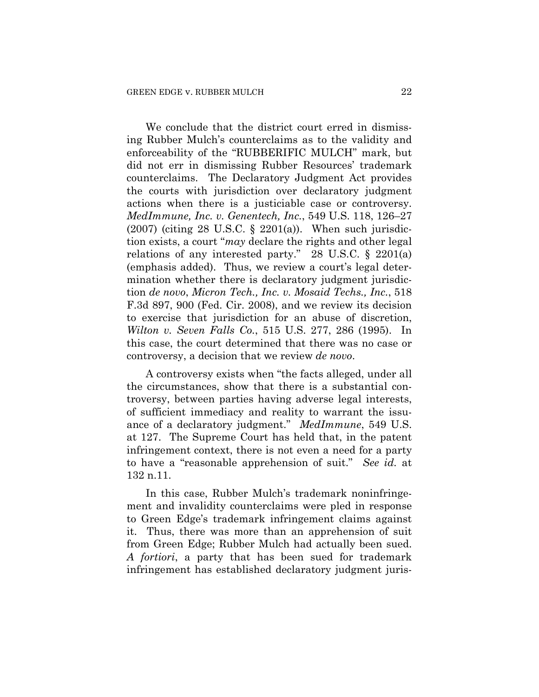We conclude that the district court erred in dismissing Rubber Mulch's counterclaims as to the validity and enforceability of the "RUBBERIFIC MULCH" mark, but did not err in dismissing Rubber Resources' trademark counterclaims. The Declaratory Judgment Act provides the courts with jurisdiction over declaratory judgment actions when there is a justiciable case or controversy. *MedImmune, Inc. v. Genentech, Inc.*, 549 U.S. 118, 126–27  $(2007)$  (citing 28 U.S.C. § 2201(a)). When such jurisdiction exists, a court "*may* declare the rights and other legal relations of any interested party." 28 U.S.C. § 2201(a) (emphasis added). Thus, we review a court's legal determination whether there is declaratory judgment jurisdiction *de novo*, *Micron Tech., Inc. v. Mosaid Techs., Inc.*, 518 F.3d 897, 900 (Fed. Cir. 2008), and we review its decision to exercise that jurisdiction for an abuse of discretion, *Wilton v. Seven Falls Co.*, 515 U.S. 277, 286 (1995). In this case, the court determined that there was no case or controversy, a decision that we review *de novo*.

A controversy exists when "the facts alleged, under all the circumstances, show that there is a substantial controversy, between parties having adverse legal interests, of sufficient immediacy and reality to warrant the issuance of a declaratory judgment." *MedImmune*, 549 U.S. at 127. The Supreme Court has held that, in the patent infringement context, there is not even a need for a party to have a "reasonable apprehension of suit." *See id.* at 132 n.11.

In this case, Rubber Mulch's trademark noninfringement and invalidity counterclaims were pled in response to Green Edge's trademark infringement claims against it. Thus, there was more than an apprehension of suit from Green Edge; Rubber Mulch had actually been sued. *A fortiori*, a party that has been sued for trademark infringement has established declaratory judgment juris-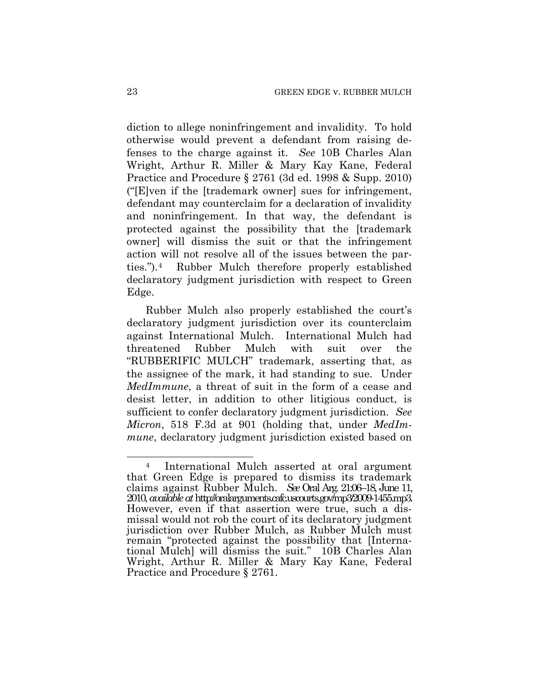diction to allege noninfringement and invalidity. To hold otherwise would prevent a defendant from raising defenses to the charge against it. *See* 10B Charles Alan Wright, Arthur R. Miller & Mary Kay Kane, Federal Practice and Procedure § 2761 (3d ed. 1998 & Supp. 2010) ("[E]ven if the [trademark owner] sues for infringement, defendant may counterclaim for a declaration of invalidity and noninfringement. In that way, the defendant is protected against the possibility that the [trademark owner] will dismiss the suit or that the infringement action will not resolve all of the issues between the parties.").[4](#page-22-0) Rubber Mulch therefore properly established declaratory judgment jurisdiction with respect to Green Edge.

Rubber Mulch also properly established the court's declaratory judgment jurisdiction over its counterclaim against International Mulch. International Mulch had threatened Rubber Mulch with suit over the "RUBBERIFIC MULCH" trademark, asserting that, as the assignee of the mark, it had standing to sue. Under *MedImmune*, a threat of suit in the form of a cease and desist letter, in addition to other litigious conduct, is sufficient to confer declaratory judgment jurisdiction. *See Micron*, 518 F.3d at 901 (holding that, under *MedImmune*, declaratory judgment jurisdiction existed based on

<span id="page-22-0"></span> $\overline{a}$ 4 International Mulch asserted at oral argument that Green Edge is prepared to dismiss its trademark claims against Rubber Mulch. *See* Oral Arg. 21:06–18, June 11, 2010, *available at* http://oralarguments.cafc.uscourts.gov/mp3/2009-1455.mp3. However, even if that assertion were true, such a dismissal would not rob the court of its declaratory judgment jurisdiction over Rubber Mulch, as Rubber Mulch must remain "protected against the possibility that [International Mulch] will dismiss the suit." 10B Charles Alan Wright, Arthur R. Miller & Mary Kay Kane, Federal Practice and Procedure § 2761.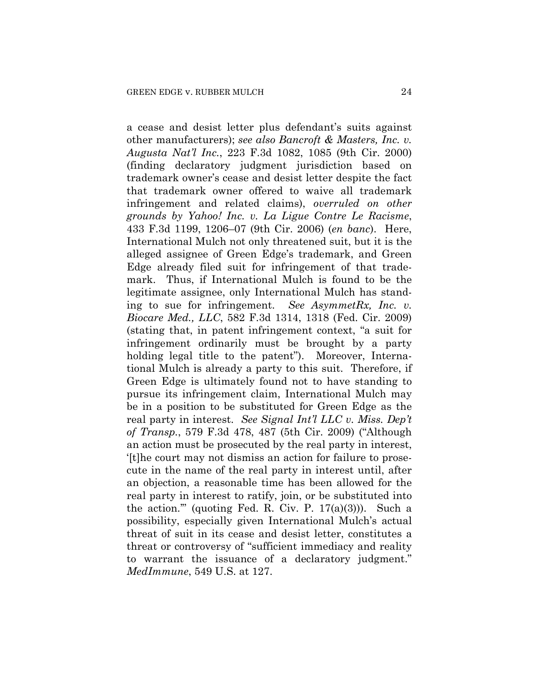a cease and desist letter plus defendant's suits against other manufacturers); *see also Bancroft & Masters, Inc. v. Augusta Nat'l Inc.*, 223 F.3d 1082, 1085 (9th Cir. 2000) (finding declaratory judgment jurisdiction based on trademark owner's cease and desist letter despite the fact that trademark owner offered to waive all trademark infringement and related claims), *overruled on other grounds by Yahoo! Inc. v. La Ligue Contre Le Racisme*, 433 F.3d 1199, 1206–07 (9th Cir. 2006) (*en banc*). Here, International Mulch not only threatened suit, but it is the alleged assignee of Green Edge's trademark, and Green Edge already filed suit for infringement of that trademark. Thus, if International Mulch is found to be the legitimate assignee, only International Mulch has standing to sue for infringement. *See AsymmetRx, Inc. v. Biocare Med., LLC*, 582 F.3d 1314, 1318 (Fed. Cir. 2009) (stating that, in patent infringement context, "a suit for infringement ordinarily must be brought by a party holding legal title to the patent"). Moreover, International Mulch is already a party to this suit. Therefore, if Green Edge is ultimately found not to have standing to pursue its infringement claim, International Mulch may be in a position to be substituted for Green Edge as the real party in interest. *See Signal Int'l LLC v. Miss. Dep't of Transp.*, 579 F.3d 478, 487 (5th Cir. 2009) ("Although an action must be prosecuted by the real party in interest, '[t]he court may not dismiss an action for failure to prosecute in the name of the real party in interest until, after an objection, a reasonable time has been allowed for the real party in interest to ratify, join, or be substituted into the action."" (quoting Fed. R. Civ. P.  $17(a)(3)$ )). Such a possibility, especially given International Mulch's actual threat of suit in its cease and desist letter, constitutes a threat or controversy of "sufficient immediacy and reality to warrant the issuance of a declaratory judgment." *MedImmune*, 549 U.S. at 127.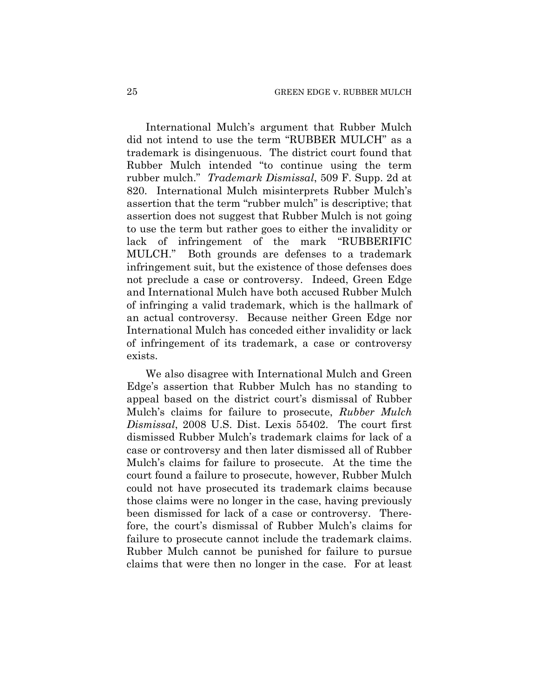International Mulch's argument that Rubber Mulch did not intend to use the term "RUBBER MULCH" as a trademark is disingenuous. The district court found that Rubber Mulch intended "to continue using the term rubber mulch." *Trademark Dismissal*, 509 F. Supp. 2d at 820. International Mulch misinterprets Rubber Mulch's assertion that the term "rubber mulch" is descriptive; that assertion does not suggest that Rubber Mulch is not going to use the term but rather goes to either the invalidity or lack of infringement of the mark "RUBBERIFIC MULCH." Both grounds are defenses to a trademark infringement suit, but the existence of those defenses does not preclude a case or controversy. Indeed, Green Edge and International Mulch have both accused Rubber Mulch of infringing a valid trademark, which is the hallmark of an actual controversy. Because neither Green Edge nor International Mulch has conceded either invalidity or lack of infringement of its trademark, a case or controversy exists.

We also disagree with International Mulch and Green Edge's assertion that Rubber Mulch has no standing to appeal based on the district court's dismissal of Rubber Mulch's claims for failure to prosecute, *Rubber Mulch Dismissal*, 2008 U.S. Dist. Lexis 55402. The court first dismissed Rubber Mulch's trademark claims for lack of a case or controversy and then later dismissed all of Rubber Mulch's claims for failure to prosecute. At the time the court found a failure to prosecute, however, Rubber Mulch could not have prosecuted its trademark claims because those claims were no longer in the case, having previously been dismissed for lack of a case or controversy. Therefore, the court's dismissal of Rubber Mulch's claims for failure to prosecute cannot include the trademark claims. Rubber Mulch cannot be punished for failure to pursue claims that were then no longer in the case. For at least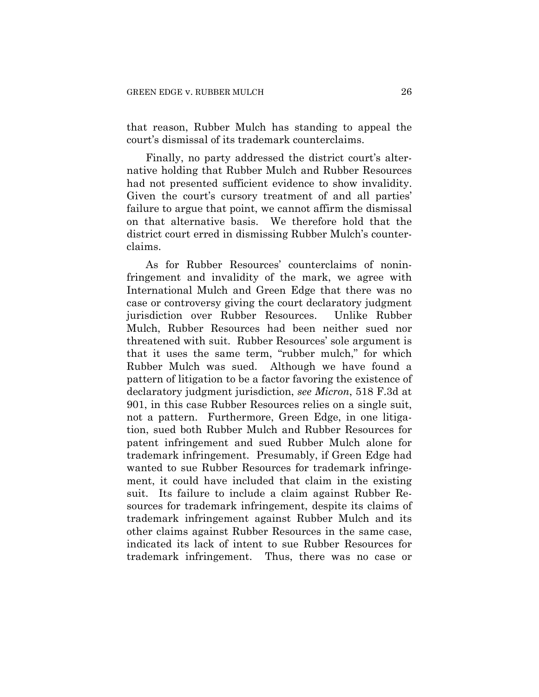that reason, Rubber Mulch has standing to appeal the court's dismissal of its trademark counterclaims.

Finally, no party addressed the district court's alternative holding that Rubber Mulch and Rubber Resources had not presented sufficient evidence to show invalidity. Given the court's cursory treatment of and all parties' failure to argue that point, we cannot affirm the dismissal on that alternative basis. We therefore hold that the district court erred in dismissing Rubber Mulch's counterclaims.

As for Rubber Resources' counterclaims of noninfringement and invalidity of the mark, we agree with International Mulch and Green Edge that there was no case or controversy giving the court declaratory judgment jurisdiction over Rubber Resources. Unlike Rubber Mulch, Rubber Resources had been neither sued nor threatened with suit. Rubber Resources' sole argument is that it uses the same term, "rubber mulch," for which Rubber Mulch was sued. Although we have found a pattern of litigation to be a factor favoring the existence of declaratory judgment jurisdiction, *see Micron*, 518 F.3d at 901, in this case Rubber Resources relies on a single suit, not a pattern. Furthermore, Green Edge, in one litigation, sued both Rubber Mulch and Rubber Resources for patent infringement and sued Rubber Mulch alone for trademark infringement. Presumably, if Green Edge had wanted to sue Rubber Resources for trademark infringement, it could have included that claim in the existing suit. Its failure to include a claim against Rubber Resources for trademark infringement, despite its claims of trademark infringement against Rubber Mulch and its other claims against Rubber Resources in the same case, indicated its lack of intent to sue Rubber Resources for trademark infringement. Thus, there was no case or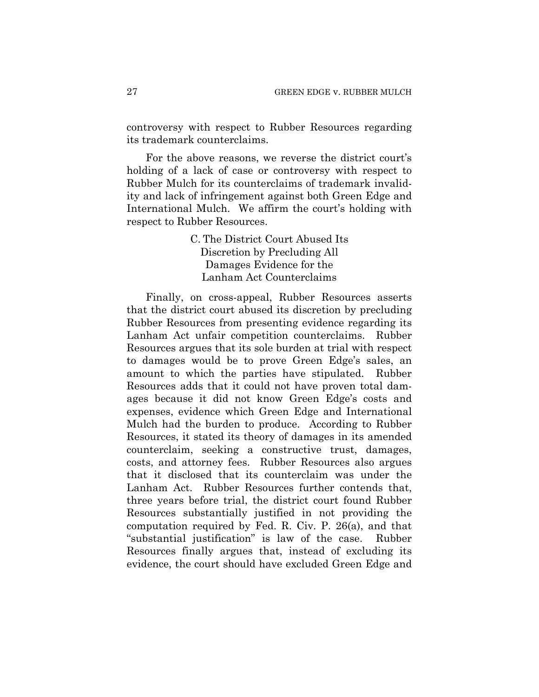controversy with respect to Rubber Resources regarding its trademark counterclaims.

For the above reasons, we reverse the district court's holding of a lack of case or controversy with respect to Rubber Mulch for its counterclaims of trademark invalidity and lack of infringement against both Green Edge and International Mulch. We affirm the court's holding with respect to Rubber Resources.

> C. The District Court Abused Its Discretion by Precluding All Damages Evidence for the Lanham Act Counterclaims

Finally, on cross-appeal, Rubber Resources asserts that the district court abused its discretion by precluding Rubber Resources from presenting evidence regarding its Lanham Act unfair competition counterclaims. Rubber Resources argues that its sole burden at trial with respect to damages would be to prove Green Edge's sales, an amount to which the parties have stipulated. Rubber Resources adds that it could not have proven total damages because it did not know Green Edge's costs and expenses, evidence which Green Edge and International Mulch had the burden to produce. According to Rubber Resources, it stated its theory of damages in its amended counterclaim, seeking a constructive trust, damages, costs, and attorney fees. Rubber Resources also argues that it disclosed that its counterclaim was under the Lanham Act. Rubber Resources further contends that, three years before trial, the district court found Rubber Resources substantially justified in not providing the computation required by Fed. R. Civ. P. 26(a), and that "substantial justification" is law of the case. Rubber Resources finally argues that, instead of excluding its evidence, the court should have excluded Green Edge and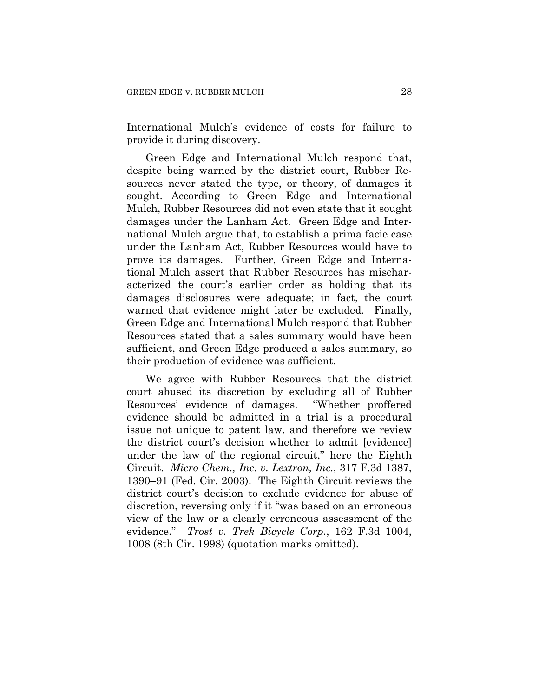International Mulch's evidence of costs for failure to provide it during discovery.

Green Edge and International Mulch respond that, despite being warned by the district court, Rubber Resources never stated the type, or theory, of damages it sought. According to Green Edge and International Mulch, Rubber Resources did not even state that it sought damages under the Lanham Act. Green Edge and International Mulch argue that, to establish a prima facie case under the Lanham Act, Rubber Resources would have to prove its damages. Further, Green Edge and International Mulch assert that Rubber Resources has mischaracterized the court's earlier order as holding that its damages disclosures were adequate; in fact, the court warned that evidence might later be excluded. Finally, Green Edge and International Mulch respond that Rubber Resources stated that a sales summary would have been sufficient, and Green Edge produced a sales summary, so their production of evidence was sufficient.

We agree with Rubber Resources that the district court abused its discretion by excluding all of Rubber Resources' evidence of damages. "Whether proffered evidence should be admitted in a trial is a procedural issue not unique to patent law, and therefore we review the district court's decision whether to admit [evidence] under the law of the regional circuit," here the Eighth Circuit. *Micro Chem., Inc. v. Lextron, Inc.*, 317 F.3d 1387, 1390–91 (Fed. Cir. 2003). The Eighth Circuit reviews the district court's decision to exclude evidence for abuse of discretion, reversing only if it "was based on an erroneous view of the law or a clearly erroneous assessment of the evidence." *Trost v. Trek Bicycle Corp.*, 162 F.3d 1004, 1008 (8th Cir. 1998) (quotation marks omitted).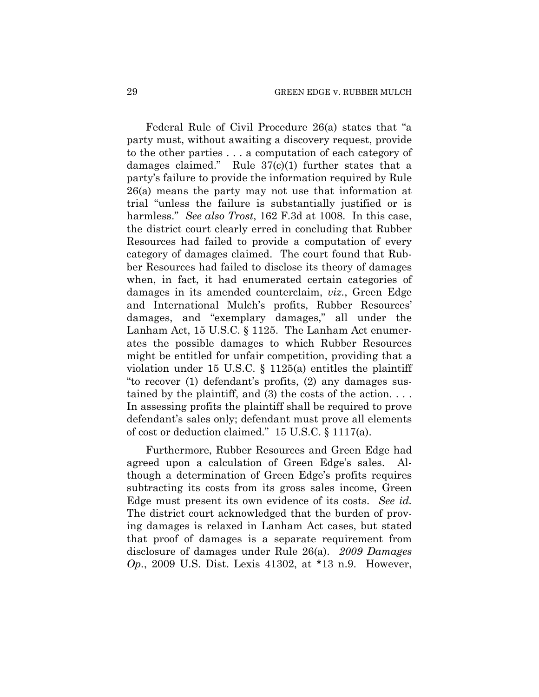Federal Rule of Civil Procedure 26(a) states that "a party must, without awaiting a discovery request, provide to the other parties . . . a computation of each category of damages claimed." Rule  $37(c)(1)$  further states that a party's failure to provide the information required by Rule 26(a) means the party may not use that information at trial "unless the failure is substantially justified or is harmless." *See also Trost*, 162 F.3d at 1008. In this case, the district court clearly erred in concluding that Rubber Resources had failed to provide a computation of every category of damages claimed. The court found that Rubber Resources had failed to disclose its theory of damages when, in fact, it had enumerated certain categories of damages in its amended counterclaim, *viz.*, Green Edge and International Mulch's profits, Rubber Resources' damages, and "exemplary damages," all under the Lanham Act, 15 U.S.C. § 1125. The Lanham Act enumerates the possible damages to which Rubber Resources might be entitled for unfair competition, providing that a violation under 15 U.S.C. § 1125(a) entitles the plaintiff "to recover (1) defendant's profits, (2) any damages sustained by the plaintiff, and (3) the costs of the action.  $\dots$ In assessing profits the plaintiff shall be required to prove defendant's sales only; defendant must prove all elements of cost or deduction claimed." 15 U.S.C. § 1117(a).

Furthermore, Rubber Resources and Green Edge had agreed upon a calculation of Green Edge's sales. Although a determination of Green Edge's profits requires subtracting its costs from its gross sales income, Green Edge must present its own evidence of its costs. *See id.* The district court acknowledged that the burden of proving damages is relaxed in Lanham Act cases, but stated that proof of damages is a separate requirement from disclosure of damages under Rule 26(a). *2009 Damages Op.*, 2009 U.S. Dist. Lexis 41302, at \*13 n.9. However,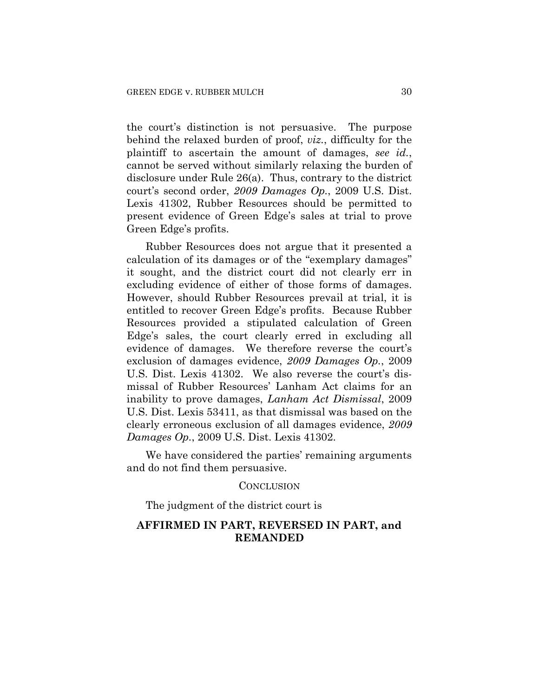the court's distinction is not persuasive. The purpose behind the relaxed burden of proof, *viz.*, difficulty for the plaintiff to ascertain the amount of damages, *see id.*, cannot be served without similarly relaxing the burden of disclosure under Rule 26(a). Thus, contrary to the district court's second order, *2009 Damages Op.*, 2009 U.S. Dist. Lexis 41302, Rubber Resources should be permitted to present evidence of Green Edge's sales at trial to prove Green Edge's profits.

Rubber Resources does not argue that it presented a calculation of its damages or of the "exemplary damages" it sought, and the district court did not clearly err in excluding evidence of either of those forms of damages. However, should Rubber Resources prevail at trial, it is entitled to recover Green Edge's profits. Because Rubber Resources provided a stipulated calculation of Green Edge's sales, the court clearly erred in excluding all evidence of damages. We therefore reverse the court's exclusion of damages evidence, *2009 Damages Op.*, 2009 U.S. Dist. Lexis 41302. We also reverse the court's dismissal of Rubber Resources' Lanham Act claims for an inability to prove damages, *Lanham Act Dismissal*, 2009 U.S. Dist. Lexis 53411, as that dismissal was based on the clearly erroneous exclusion of all damages evidence, *2009 Damages Op.*, 2009 U.S. Dist. Lexis 41302.

We have considered the parties' remaining arguments and do not find them persuasive.

#### CONCLUSION

The judgment of the district court is

# **AFFIRMED IN PART, REVERSED IN PART, and REMANDED**